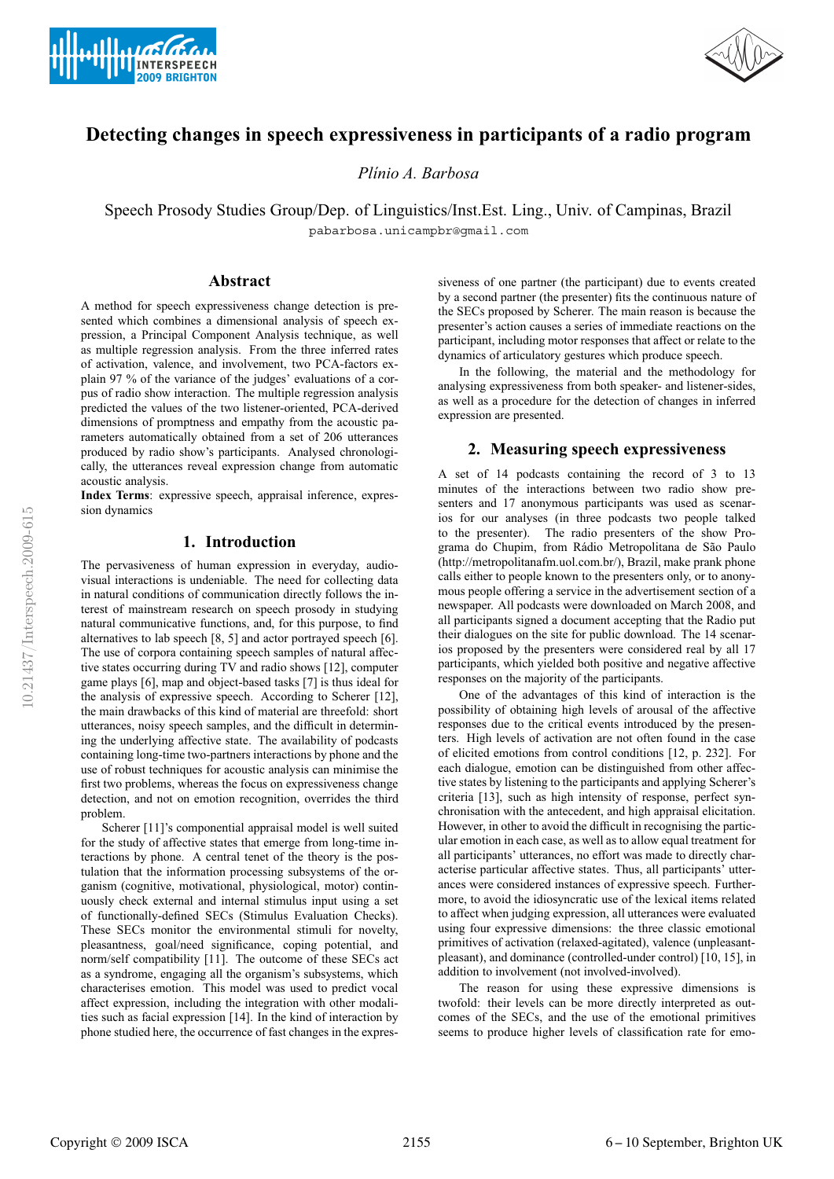



# **Detecting changes in speech expressiveness in participants of a radio program**

*Pl´ınio A. Barbosa*

Speech Prosody Studies Group/Dep. of Linguistics/Inst.Est. Ling., Univ. of Campinas, Brazil pabarbosa.unicampbr@gmail.com

### **Abstract**

A method for speech expressiveness change detection is presented which combines a dimensional analysis of speech expression, a Principal Component Analysis technique, as well as multiple regression analysis. From the three inferred rates of activation, valence, and involvement, two PCA-factors explain 97 % of the variance of the judges' evaluations of a corpus of radio show interaction. The multiple regression analysis predicted the values of the two listener-oriented, PCA-derived dimensions of promptness and empathy from the acoustic parameters automatically obtained from a set of 206 utterances produced by radio show's participants. Analysed chronologically, the utterances reveal expression change from automatic acoustic analysis.

**Index Terms**: expressive speech, appraisal inference, expression dynamics

## **1. Introduction**

The pervasiveness of human expression in everyday, audiovisual interactions is undeniable. The need for collecting data in natural conditions of communication directly follows the interest of mainstream research on speech prosody in studying natural communicative functions, and, for this purpose, to find alternatives to lab speech [8, 5] and actor portrayed speech [6]. The use of corpora containing speech samples of natural affective states occurring during TV and radio shows [12], computer game plays [6], map and object-based tasks [7] is thus ideal for the analysis of expressive speech. According to Scherer [12], the main drawbacks of this kind of material are threefold: short utterances, noisy speech samples, and the difficult in determining the underlying affective state. The availability of podcasts containing long-time two-partners interactions by phone and the use of robust techniques for acoustic analysis can minimise the first two problems, whereas the focus on expressiveness change detection, and not on emotion recognition, overrides the third problem.

Scherer [11]'s componential appraisal model is well suited for the study of affective states that emerge from long-time interactions by phone. A central tenet of the theory is the postulation that the information processing subsystems of the organism (cognitive, motivational, physiological, motor) continuously check external and internal stimulus input using a set of functionally-defined SECs (Stimulus Evaluation Checks). These SECs monitor the environmental stimuli for novelty, pleasantness, goal/need significance, coping potential, and norm/self compatibility [11]. The outcome of these SECs act as a syndrome, engaging all the organism's subsystems, which characterises emotion. This model was used to predict vocal affect expression, including the integration with other modalities such as facial expression [14]. In the kind of interaction by phone studied here, the occurrence of fast changes in the expressiveness of one partner (the participant) due to events created by a second partner (the presenter) fits the continuous nature of the SECs proposed by Scherer. The main reason is because the presenter's action causes a series of immediate reactions on the participant, including motor responses that affect or relate to the dynamics of articulatory gestures which produce speech.

In the following, the material and the methodology for analysing expressiveness from both speaker- and listener-sides, as well as a procedure for the detection of changes in inferred expression are presented.

#### **2. Measuring speech expressiveness**

A set of 14 podcasts containing the record of 3 to 13 minutes of the interactions between two radio show presenters and 17 anonymous participants was used as scenarios for our analyses (in three podcasts two people talked to the presenter). The radio presenters of the show Programa do Chupim, from Rádio Metropolitana de São Paulo (http://metropolitanafm.uol.com.br/), Brazil, make prank phone calls either to people known to the presenters only, or to anonymous people offering a service in the advertisement section of a newspaper. All podcasts were downloaded on March 2008, and all participants signed a document accepting that the Radio put their dialogues on the site for public download. The 14 scenarios proposed by the presenters were considered real by all 17 participants, which yielded both positive and negative affective responses on the majority of the participants.

One of the advantages of this kind of interaction is the possibility of obtaining high levels of arousal of the affective responses due to the critical events introduced by the presenters. High levels of activation are not often found in the case of elicited emotions from control conditions [12, p. 232]. For each dialogue, emotion can be distinguished from other affective states by listening to the participants and applying Scherer's criteria [13], such as high intensity of response, perfect synchronisation with the antecedent, and high appraisal elicitation. However, in other to avoid the difficult in recognising the particular emotion in each case, as well as to allow equal treatment for all participants' utterances, no effort was made to directly characterise particular affective states. Thus, all participants' utterances were considered instances of expressive speech. Furthermore, to avoid the idiosyncratic use of the lexical items related to affect when judging expression, all utterances were evaluated using four expressive dimensions: the three classic emotional primitives of activation (relaxed-agitated), valence (unpleasantpleasant), and dominance (controlled-under control) [10, 15], in addition to involvement (not involved-involved).

The reason for using these expressive dimensions is twofold: their levels can be more directly interpreted as outcomes of the SECs, and the use of the emotional primitives seems to produce higher levels of classification rate for emo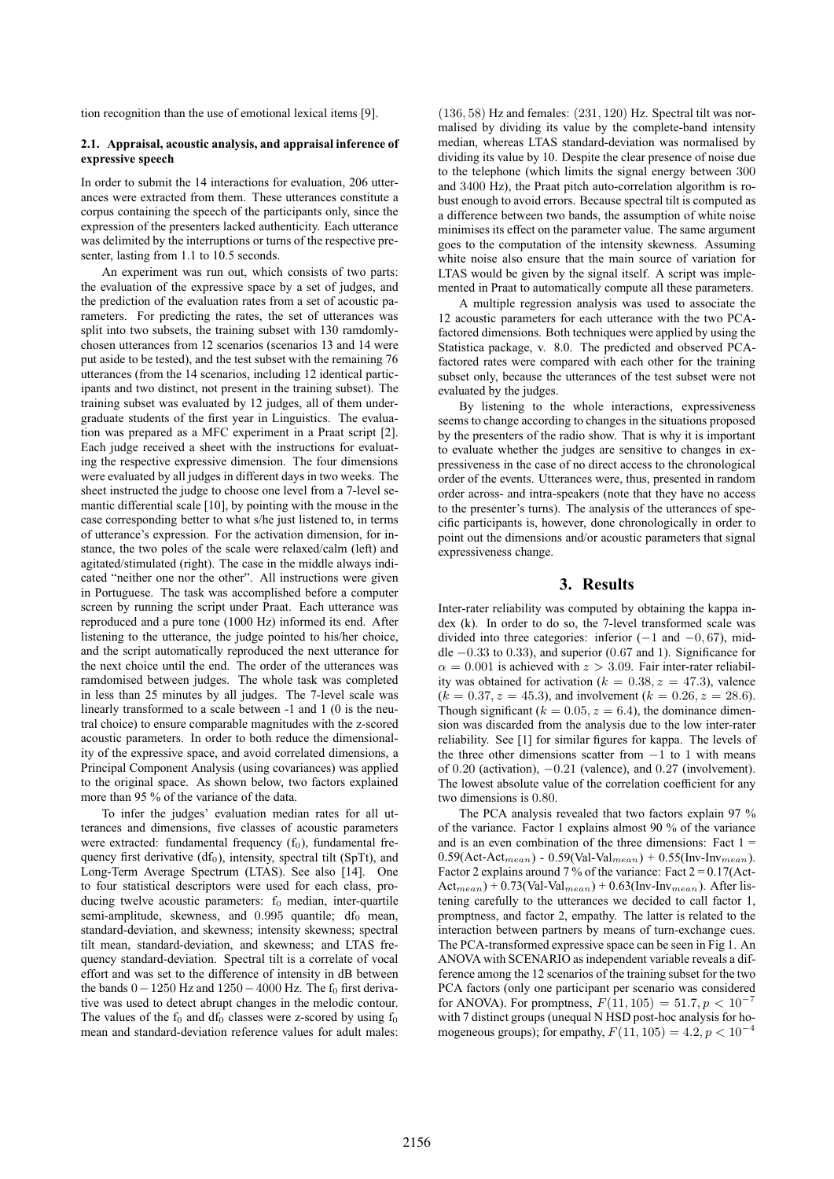tion recognition than the use of emotional lexical items [9].

#### **2.1. Appraisal, acoustic analysis, and appraisal inference of expressive speech**

In order to submit the 14 interactions for evaluation, 206 utterances were extracted from them. These utterances constitute a corpus containing the speech of the participants only, since the expression of the presenters lacked authenticity. Each utterance was delimited by the interruptions or turns of the respective presenter, lasting from 1.1 to 10.5 seconds.

An experiment was run out, which consists of two parts: the evaluation of the expressive space by a set of judges, and the prediction of the evaluation rates from a set of acoustic parameters. For predicting the rates, the set of utterances was split into two subsets, the training subset with 130 ramdomlychosen utterances from 12 scenarios (scenarios 13 and 14 were put aside to be tested), and the test subset with the remaining 76 utterances (from the 14 scenarios, including 12 identical participants and two distinct, not present in the training subset). The training subset was evaluated by 12 judges, all of them undergraduate students of the first year in Linguistics. The evaluation was prepared as a MFC experiment in a Praat script [2]. Each judge received a sheet with the instructions for evaluating the respective expressive dimension. The four dimensions were evaluated by all judges in different days in two weeks. The sheet instructed the judge to choose one level from a 7-level semantic differential scale [10], by pointing with the mouse in the case corresponding better to what s/he just listened to, in terms of utterance's expression. For the activation dimension, for instance, the two poles of the scale were relaxed/calm (left) and agitated/stimulated (right). The case in the middle always indicated "neither one nor the other". All instructions were given in Portuguese. The task was accomplished before a computer screen by running the script under Praat. Each utterance was reproduced and a pure tone (1000 Hz) informed its end. After listening to the utterance, the judge pointed to his/her choice, and the script automatically reproduced the next utterance for the next choice until the end. The order of the utterances was ramdomised between judges. The whole task was completed in less than 25 minutes by all judges. The 7-level scale was linearly transformed to a scale between -1 and 1 (0 is the neutral choice) to ensure comparable magnitudes with the z-scored acoustic parameters. In order to both reduce the dimensionality of the expressive space, and avoid correlated dimensions, a Principal Component Analysis (using covariances) was applied to the original space. As shown below, two factors explained more than 95 % of the variance of the data.

To infer the judges' evaluation median rates for all utterances and dimensions, five classes of acoustic parameters were extracted: fundamental frequency  $(f_0)$ , fundamental frequency first derivative  $(df<sub>0</sub>)$ , intensity, spectral tilt (SpTt), and Long-Term Average Spectrum (LTAS). See also [14]. One to four statistical descriptors were used for each class, producing twelve acoustic parameters:  $f_0$  median, inter-quartile semi-amplitude, skewness, and  $0.995$  quantile; df<sub>0</sub> mean, standard-deviation, and skewness; intensity skewness; spectral tilt mean, standard-deviation, and skewness; and LTAS frequency standard-deviation. Spectral tilt is a correlate of vocal effort and was set to the difference of intensity in dB between the bands  $0-1250$  Hz and  $1250-4000$  Hz. The f<sub>0</sub> first derivative was used to detect abrupt changes in the melodic contour. The values of the  $f_0$  and  $df_0$  classes were z-scored by using  $f_0$ mean and standard-deviation reference values for adult males:

(136, 58) Hz and females: (231, 120) Hz. Spectral tilt was normalised by dividing its value by the complete-band intensity median, whereas LTAS standard-deviation was normalised by dividing its value by 10. Despite the clear presence of noise due to the telephone (which limits the signal energy between 300 and 3400 Hz), the Praat pitch auto-correlation algorithm is robust enough to avoid errors. Because spectral tilt is computed as a difference between two bands, the assumption of white noise minimises its effect on the parameter value. The same argument goes to the computation of the intensity skewness. Assuming white noise also ensure that the main source of variation for LTAS would be given by the signal itself. A script was implemented in Praat to automatically compute all these parameters.

A multiple regression analysis was used to associate the 12 acoustic parameters for each utterance with the two PCAfactored dimensions. Both techniques were applied by using the Statistica package, v. 8.0. The predicted and observed PCAfactored rates were compared with each other for the training subset only, because the utterances of the test subset were not evaluated by the judges.

By listening to the whole interactions, expressiveness seems to change according to changes in the situations proposed by the presenters of the radio show. That is why it is important to evaluate whether the judges are sensitive to changes in expressiveness in the case of no direct access to the chronological order of the events. Utterances were, thus, presented in random order across- and intra-speakers (note that they have no access to the presenter's turns). The analysis of the utterances of specific participants is, however, done chronologically in order to point out the dimensions and/or acoustic parameters that signal expressiveness change.

#### **3. Results**

Inter-rater reliability was computed by obtaining the kappa index (k). In order to do so, the 7-level transformed scale was divided into three categories: inferior ( $-1$  and  $-0$ , 67), middle −0.33 to 0.33), and superior (0.67 and 1). Significance for  $\alpha = 0.001$  is achieved with  $z > 3.09$ . Fair inter-rater reliability was obtained for activation ( $k = 0.38$ ,  $z = 47.3$ ), valence  $(k = 0.37, z = 45.3)$ , and involvement  $(k = 0.26, z = 28.6)$ . Though significant ( $k = 0.05$ ,  $z = 6.4$ ), the dominance dimension was discarded from the analysis due to the low inter-rater reliability. See [1] for similar figures for kappa. The levels of the three other dimensions scatter from  $-1$  to 1 with means of  $0.20$  (activation),  $-0.21$  (valence), and  $0.27$  (involvement). The lowest absolute value of the correlation coefficient for any two dimensions is 0.80.

The PCA analysis revealed that two factors explain 97 % of the variance. Factor 1 explains almost 90 % of the variance and is an even combination of the three dimensions: Fact  $1 =$  $0.59(\text{Act-Act}_{mean}) - 0.59(\text{Val-Val}_{mean}) + 0.55(\text{Inv-Inv}_{mean}).$ Factor 2 explains around 7 % of the variance: Fact  $2 = 0.17$  (Act- $Act_{mean}) + 0.73(Val-Val_{mean}) + 0.63(Inv-Inv_{mean})$ . After listening carefully to the utterances we decided to call factor 1, promptness, and factor 2, empathy. The latter is related to the interaction between partners by means of turn-exchange cues. The PCA-transformed expressive space can be seen in Fig 1. An ANOVA with SCENARIO as independent variable reveals a difference among the 12 scenarios of the training subset for the two PCA factors (only one participant per scenario was considered for ANOVA). For promptness,  $F(11, 105) = 51.7, p < 10^{-7}$ with 7 distinct groups (unequal N HSD post-hoc analysis for homogeneous groups); for empathy,  $F(11, 105) = 4.2, p < 10^{-4}$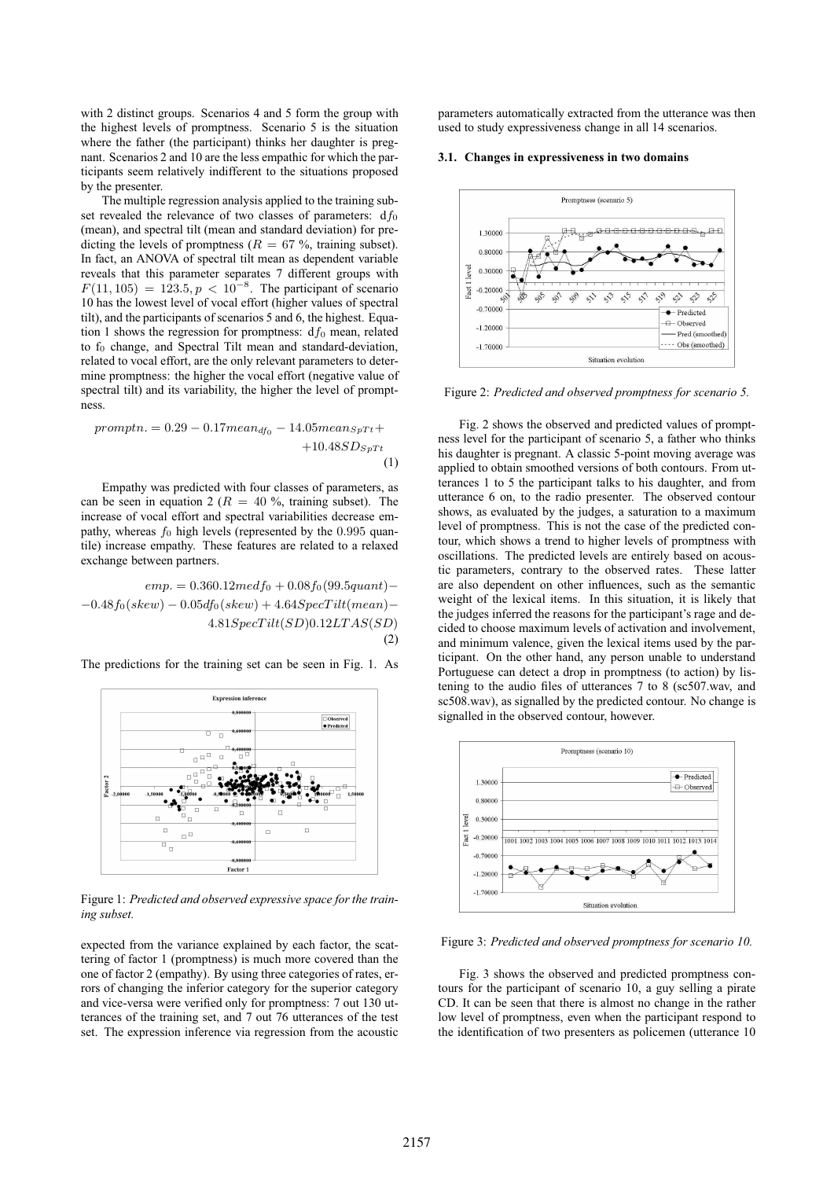with 2 distinct groups. Scenarios 4 and 5 form the group with the highest levels of promptness. Scenario 5 is the situation where the father (the participant) thinks her daughter is pregnant. Scenarios 2 and 10 are the less empathic for which the participants seem relatively indifferent to the situations proposed by the presenter.

The multiple regression analysis applied to the training subset revealed the relevance of two classes of parameters:  $df_0$ (mean), and spectral tilt (mean and standard deviation) for predicting the levels of promptness ( $R = 67$ %, training subset). In fact, an ANOVA of spectral tilt mean as dependent variable reveals that this parameter separates 7 different groups with  $F(11, 105) = 123.5, p < 10^{-8}$ . The participant of scenario 10 has the lowest level of vocal effort (higher values of spectral tilt), and the participants of scenarios 5 and 6, the highest. Equation 1 shows the regression for promptness:  $df_0$  mean, related to  $f_0$  change, and Spectral Tilt mean and standard-deviation, related to vocal effort, are the only relevant parameters to determine promptness: the higher the vocal effort (negative value of spectral tilt) and its variability, the higher the level of promptness.

$$
promptn. = 0.29 - 0.17 mean_{df_0} - 14.05 mean_{SpTt} + 10.48 SD_{SpTt}
$$
\n
$$
(1)
$$

Empathy was predicted with four classes of parameters, as can be seen in equation 2 ( $R = 40\%$ , training subset). The increase of vocal effort and spectral variabilities decrease empathy, whereas  $f_0$  high levels (represented by the 0.995 quantile) increase empathy. These features are related to a relaxed exchange between partners.

$$
emp. = 0.360.12 med f_0 + 0.08 f_0 (99.5 quantum) - 0.48 f_0 (skew) - 0.05 df_0 (skew) + 4.64 SpecTilt (mean) - 4.81 SpecTilt (SD) 0.12 LTAS (SD)
$$
\n(2)

The predictions for the training set can be seen in Fig. 1. As



Figure 1: *Predicted and observed expressive space for the training subset.*

expected from the variance explained by each factor, the scattering of factor 1 (promptness) is much more covered than the one of factor 2 (empathy). By using three categories of rates, errors of changing the inferior category for the superior category and vice-versa were verified only for promptness: 7 out 130 utterances of the training set, and 7 out 76 utterances of the test set. The expression inference via regression from the acoustic parameters automatically extracted from the utterance was then used to study expressiveness change in all 14 scenarios.

#### **3.1. Changes in expressiveness in two domains**



Figure 2: *Predicted and observed promptness for scenario 5.*

Fig. 2 shows the observed and predicted values of promptness level for the participant of scenario 5, a father who thinks his daughter is pregnant. A classic 5-point moving average was applied to obtain smoothed versions of both contours. From utterances 1 to 5 the participant talks to his daughter, and from utterance 6 on, to the radio presenter. The observed contour shows, as evaluated by the judges, a saturation to a maximum level of promptness. This is not the case of the predicted contour, which shows a trend to higher levels of promptness with oscillations. The predicted levels are entirely based on acoustic parameters, contrary to the observed rates. These latter are also dependent on other influences, such as the semantic weight of the lexical items. In this situation, it is likely that the judges inferred the reasons for the participant's rage and decided to choose maximum levels of activation and involvement, and minimum valence, given the lexical items used by the participant. On the other hand, any person unable to understand Portuguese can detect a drop in promptness (to action) by listening to the audio files of utterances 7 to 8 (sc507.wav, and sc508.wav), as signalled by the predicted contour. No change is signalled in the observed contour, however.



Figure 3: *Predicted and observed promptness for scenario 10.*

Fig. 3 shows the observed and predicted promptness contours for the participant of scenario 10, a guy selling a pirate CD. It can be seen that there is almost no change in the rather low level of promptness, even when the participant respond to the identification of two presenters as policemen (utterance 10